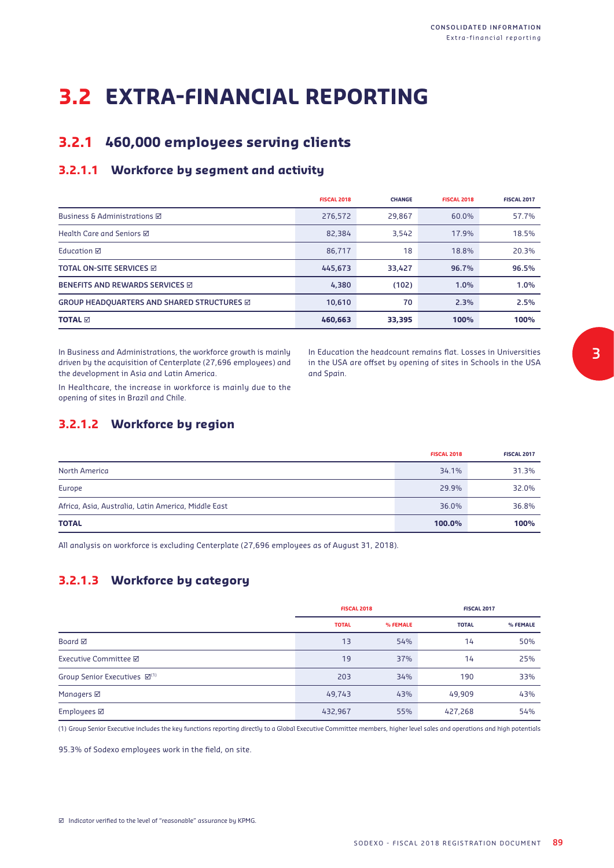# **3.2 EXTRA-FINANCIAL REPORTING**

## **3.2.1 460,000 employees serving clients**

## **3.2.1.1 Workforce by segment and activity**

|                                            | <b>FISCAL 2018</b> | <b>CHANGE</b> | <b>FISCAL 2018</b> | <b>FISCAL 2017</b> |
|--------------------------------------------|--------------------|---------------|--------------------|--------------------|
| <b>Business &amp; Administrations Ø</b>    | 276,572            | 29.867        | 60.0%              | 57.7%              |
| Health Care and Seniors ⊠                  | 82.384             | 3.542         | 17.9%              | 18.5%              |
| Education <b>⊠</b>                         | 86,717             | 18            | 18.8%              | 20.3%              |
| TOTAL ON-SITE SERVICES Ø                   | 445,673            | 33,427        | 96.7%              | 96.5%              |
| <b>BENEFITS AND REWARDS SERVICES ☑</b>     | 4,380              | (102)         | 1.0%               | 1.0%               |
| GROUP HEADQUARTERS AND SHARED STRUCTURES Ø | 10,610             | 70            | 2.3%               | 2.5%               |
| <b>TOTAL M</b>                             | 460,663            | 33,395        | 100%               | 100%               |

In Business and Administrations, the workforce growth is mainly driven by the acquisition of Centerplate (27,696 employees) and the development in Asia and Latin America.

In Education the headcount remains flat. Losses in Universities in the USA are offset by opening of sites in Schools in the USA and Spain.

In Healthcare, the increase in workforce is mainly due to the opening of sites in Brazil and Chile.

### **3.2.1.2 Workforce by region**

|                                                     | <b>FISCAL 2018</b> | <b>FISCAL 2017</b> |
|-----------------------------------------------------|--------------------|--------------------|
| North America                                       | 34.1%              | 31.3%              |
| Europe                                              | 29.9%              | 32.0%              |
| Africa, Asia, Australia, Latin America, Middle East | 36.0%              | 36.8%              |
| <b>TOTAL</b>                                        | 100.0%             | 100%               |

All analysis on workforce is excluding Centerplate (27,696 employees as of August 31, 2018).

## **3.2.1.3 Workforce by category**

|                                          | <b>FISCAL 2018</b> |          | <b>FISCAL 2017</b> |          |
|------------------------------------------|--------------------|----------|--------------------|----------|
|                                          | <b>TOTAL</b>       | % FEMALE | <b>TOTAL</b>       | % FEMALE |
| Board $\boxtimes$                        | 1 <sub>3</sub>     | 54%      | 14                 | 50%      |
| Executive Committee <b>Ø</b>             | 19                 | 37%      | 14                 | 25%      |
| Group Senior Executives ⊠ <sup>(1)</sup> | 203                | 34%      | 190                | 33%      |
| Managers <b>Ø</b>                        | 49,743             | 43%      | 49.909             | 43%      |
| Employees <b>Ø</b>                       | 432,967            | 55%      | 427,268            | 54%      |

(1) Group Senior Executive includes the key functions reporting directly to a Global Executive Committee members, higher level sales and operations and high potentials

95.3% of Sodexo employees work in the field, on site.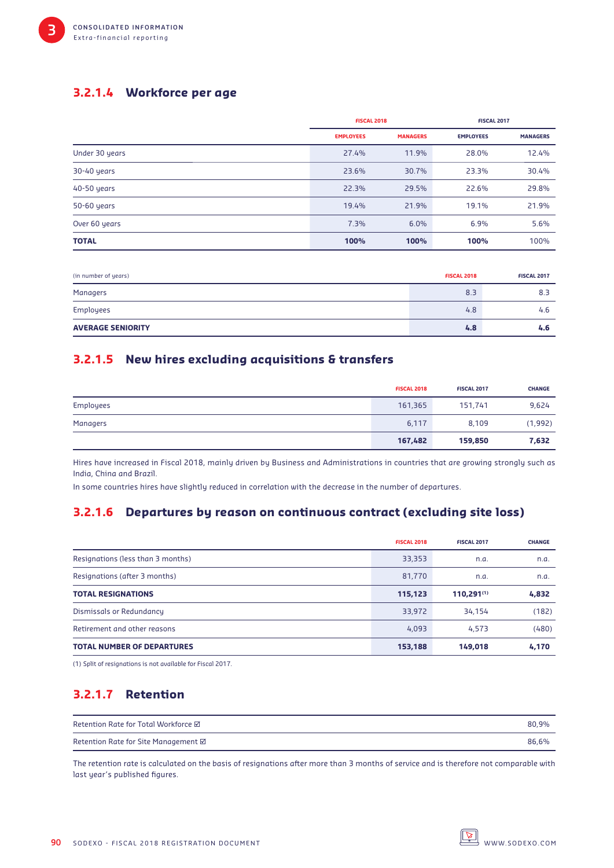## **3.2.1.4 Workforce per age**

|                | <b>FISCAL 2018</b> |                 | <b>FISCAL 2017</b> |                 |
|----------------|--------------------|-----------------|--------------------|-----------------|
|                | <b>EMPLOYEES</b>   | <b>MANAGERS</b> | <b>EMPLOYEES</b>   | <b>MANAGERS</b> |
| Under 30 years | 27.4%              | 11.9%           | 28.0%              | 12.4%           |
| 30-40 years    | 23.6%              | 30.7%           | 23.3%              | 30.4%           |
| 40-50 years    | 22.3%              | 29.5%           | 22.6%              | 29.8%           |
| 50-60 years    | 19.4%              | 21.9%           | 19.1%              | 21.9%           |
| Over 60 years  | 7.3%               | 6.0%            | 6.9%               | 5.6%            |
| <b>TOTAL</b>   | 100%               | 100%            | 100%               | 100%            |

| (in number of years)     | <b>FISCAL 2018</b> | <b>FISCAL 2017</b> |
|--------------------------|--------------------|--------------------|
| Managers                 | 8.3                | 8.3                |
| Employees                | 4.8                | 4.6                |
| <b>AVERAGE SENIORITY</b> | 4.8                | 4.6                |

### **3.2.1.5 New hires excluding acquisitions & transfers**

|           | <b>FISCAL 2018</b> | <b>FISCAL 2017</b> | <b>CHANGE</b> |
|-----------|--------------------|--------------------|---------------|
| Employees | 161,365            | 151,741            | 9,624         |
| Managers  | 6,117              | 8,109              | (1,992)       |
|           | 167,482            | 159,850            | 7,632         |

Hires have increased in Fiscal 2018, mainly driven by Business and Administrations in countries that are growing strongly such as India, China and Brazil.

In some countries hires have slightly reduced in correlation with the decrease in the number of departures.

### **3.2.1.6 Departures by reason on continuous contract (excluding site loss)**

|                                   | <b>FISCAL 2018</b> | <b>FISCAL 2017</b> | <b>CHANGE</b> |
|-----------------------------------|--------------------|--------------------|---------------|
| Resignations (less than 3 months) | 33,353             | n.a.               | n.a.          |
| Resignations (after 3 months)     | 81,770             | n.a.               | n.a.          |
| <b>TOTAL RESIGNATIONS</b>         | 115,123            | 110,291(1)         | 4,832         |
| Dismissals or Redundancy          | 33,972             | 34,154             | (182)         |
| Retirement and other reasons      | 4,093              | 4.573              | (480)         |
| <b>TOTAL NUMBER OF DEPARTURES</b> | 153,188            | 149,018            | 4,170         |

(1) Split of resignations is not available for Fiscal 2017.

## **3.2.1.7 Retention**

| Retention Rate for Total Workforce Ø | 80.9% |
|--------------------------------------|-------|
| Retention Rate for Site Management ⊠ | 86.6% |

The retention rate is calculated on the basis of resignations after more than 3 months of service and is therefore not comparable with last year's published figures.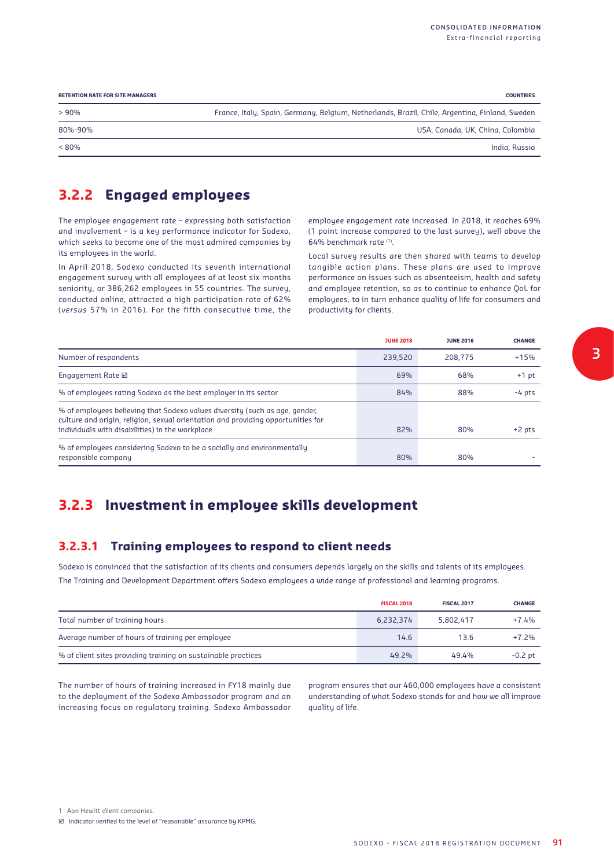| <b>RETENTION RATE FOR SITE MANAGERS</b> | <b>COUNTRIES</b>                                                                               |
|-----------------------------------------|------------------------------------------------------------------------------------------------|
| $>90\%$                                 | France, Italy, Spain, Germany, Belgium, Netherlands, Brazil, Chile, Argentina, Finland, Sweden |
| 80%-90%                                 | USA, Canada, UK, China, Colombia                                                               |
| $< 80\%$                                | India, Russia                                                                                  |

## **3.2.2 Engaged employees**

The employee engagement rate – expressing both satisfaction and involvement – is a key performance indicator for Sodexo, which seeks to become one of the most admired companies by its employees in the world.

In April 2018, Sodexo conducted its seventh international engagement survey with all employees of at least six months seniority, or 386,262 employees in 55 countries. The survey, conducted online, attracted a high participation rate of 62% (*versus* 57% in 2016). For the fifth consecutive time, the employee engagement rate increased. In 2018, it reaches 69% (1 point increase compared to the last survey), well above the 64% benchmark rate (1).

Local survey results are then shared with teams to develop tangible action plans. These plans are used to improve performance on issues such as absenteeism, health and safety and employee retention, so as to continue to enhance QoL for employees, to in turn enhance quality of life for consumers and productivity for clients.

|                                                                                                                                                                 | <b>JUNE 2018</b> | <b>JUNE 2016</b> | <b>CHANGE</b> |
|-----------------------------------------------------------------------------------------------------------------------------------------------------------------|------------------|------------------|---------------|
| Number of respondents                                                                                                                                           | 239,520          | 208,775          | $+15%$        |
| Engagement Rate $\boxtimes$                                                                                                                                     | 69%              | 68%              | $+1$ pt       |
| % of employees rating Sodexo as the best employer in its sector                                                                                                 | 84%              | 88%              | $-4$ pts      |
| % of employees believing that Sodexo values diversity (such as age, gender,<br>culture and origin, religion, sexual orientation and providing opportunities for |                  |                  |               |
| individuals with disabilities) in the workplace                                                                                                                 | 82%              | 80%              | $+2$ pts      |
| % of employees considering Sodexo to be a socially and environmentally<br>responsible company                                                                   | 80%              | 80%              |               |

## **3.2.3 Investment in employee skills development**

### **3.2.3.1 Training employees to respond to client needs**

Sodexo is convinced that the satisfaction of its clients and consumers depends largely on the skills and talents of its employees. The Training and Development Department offers Sodexo employees a wide range of professional and learning programs.

|                                                               | <b>FISCAL 2018</b> | <b>FISCAL 2017</b> | <b>CHANGE</b> |
|---------------------------------------------------------------|--------------------|--------------------|---------------|
| Total number of training hours                                | 6.232.374          | 5.802.417          | $+7.4%$       |
| Average number of hours of training per employee              | 14.6               | 13.6               | $+7.2%$       |
| % of client sites providing training on sustainable practices | 49.2%              | 49.4%              | $-0.2$ pt     |

The number of hours of training increased in FY18 mainly due to the deployment of the Sodexo Ambassador program and an increasing focus on regulatory training. Sodexo Ambassador program ensures that our 460,000 employees have a consistent understanding of what Sodexo stands for and how we all improve quality of life.

<sup>1</sup> Aon Hewitt client companies.

<sup>⊠</sup> Indicator verified to the level of "reasonable" assurance by KPMG.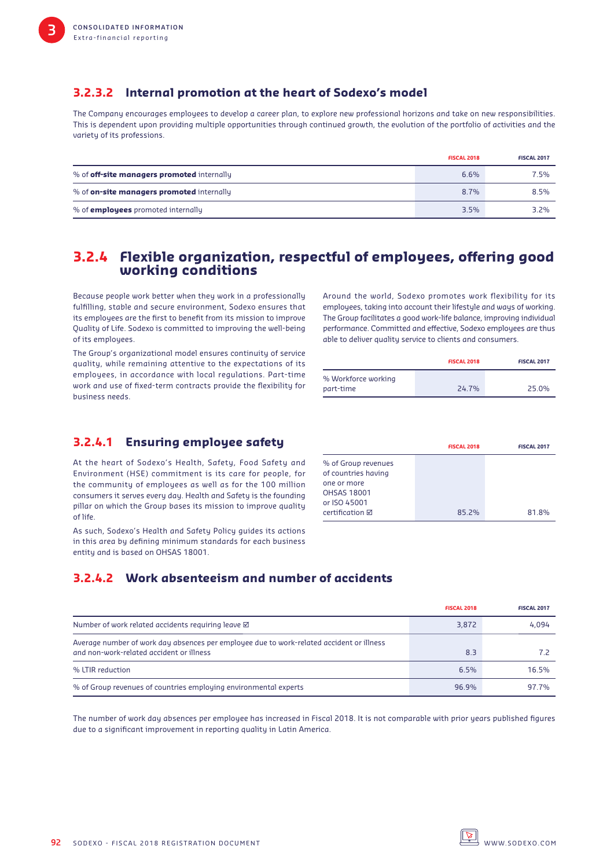## **3.2.3.2 Internal promotion at the heart of Sodexo's model**

The Company encourages employees to develop a career plan, to explore new professional horizons and take on new responsibilities. This is dependent upon providing multiple opportunities through continued growth, the evolution of the portfolio of activities and the variety of its professions.

|                                                   | <b>FISCAL 2018</b> | <b>FISCAL 2017</b> |
|---------------------------------------------------|--------------------|--------------------|
| % of <b>off-site managers promoted</b> internally | 6.6%               | 7.5%               |
| % of <b>on-site managers promoted</b> internally  | 8.7%               | 8.5%               |
| % of <b>employees</b> promoted internally         | 3.5%               | 3.2%               |

### **3.2.4 Flexible organization, respectful of employees, offering good working conditions**

Because people work better when they work in a professionally fulfilling, stable and secure environment, Sodexo ensures that its employees are the first to benefit from its mission to improve Quality of Life. Sodexo is committed to improving the well-being of its employees.

The Group's organizational model ensures continuity of service quality, while remaining attentive to the expectations of its employees, in accordance with local regulations. Part-time work and use of fixed-term contracts provide the flexibility for business needs.

### **3.2.4.1 Ensuring employee safety**

At the heart of Sodexo's Health, Safety, Food Safety and Environment (HSE) commitment is its care for people, for the community of employees as well as for the 100 million consumers it serves every day. Health and Safety is the founding pillar on which the Group bases its mission to improve quality of life.

As such, Sodexo's Health and Safety Policy guides its actions in this area by defining minimum standards for each business entity and is based on OHSAS 18001.

Around the world, Sodexo promotes work flexibility for its employees, taking into account their lifestyle and ways of working. The Group facilitates a good work-life balance, improving individual performance. Committed and effective, Sodexo employees are thus able to deliver quality service to clients and consumers.

|                     | <b>FISCAL 2018</b> | <b>FISCAL 2017</b> |
|---------------------|--------------------|--------------------|
| % Workforce working |                    |                    |
| part-time           | <b>247%</b>        | 25.0%              |

|                        | <b>FISCAL 2018</b> | <b>FISCAL 2017</b> |
|------------------------|--------------------|--------------------|
| % of Group revenues    |                    |                    |
| of countries having    |                    |                    |
| one or more            |                    |                    |
| <b>OHSAS 18001</b>     |                    |                    |
| or ISO 45001           |                    |                    |
| certification $\nabla$ | 85.2%              | 81.8%              |

### **3.2.4.2 Work absenteeism and number of accidents**

|                                                                                                                                      | <b>FISCAL 2018</b> | <b>FISCAL 2017</b> |
|--------------------------------------------------------------------------------------------------------------------------------------|--------------------|--------------------|
| Number of work related accidents requiring leave $\boxtimes$                                                                         | 3,872              | 4.094              |
| Average number of work day absences per employee due to work-related accident or illness<br>and non-work-related accident or illness | 8.3                |                    |
| % LTIR reduction                                                                                                                     | 6.5%               | 16.5%              |
| % of Group revenues of countries employing environmental experts                                                                     | 96.9%              | 97 7%              |

The number of work day absences per employee has increased in Fiscal 2018. It is not comparable with prior years published figures due to a significant improvement in reporting quality in Latin America.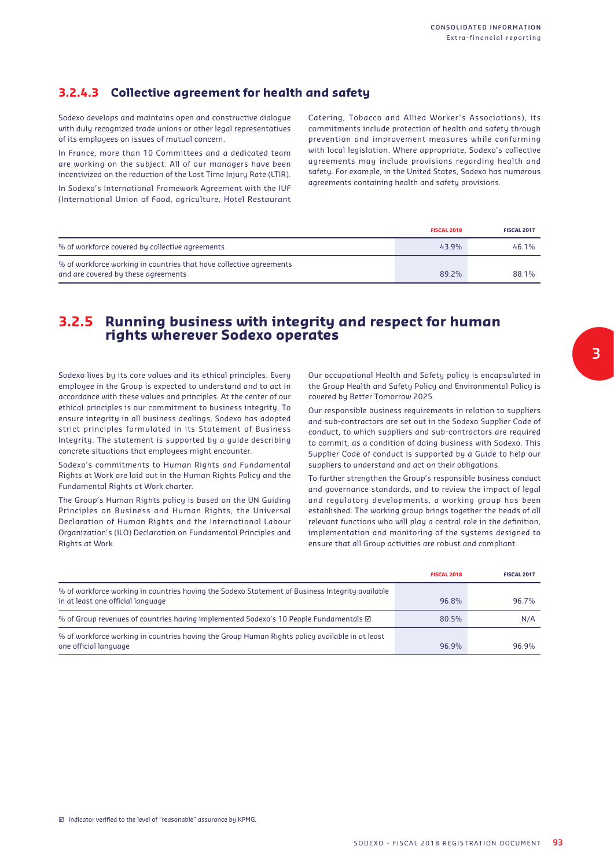## **3.2.4.3 Collective agreement for health and safety**

Sodexo develops and maintains open and constructive dialogue with duly recognized trade unions or other legal representatives of its employees on issues of mutual concern.

In France, more than 10 Committees and a dedicated team are working on the subject. All of our managers have been incentivized on the reduction of the Lost Time Injury Rate (LTIR).

In Sodexo's International Framework Agreement with the IUF (International Union of Food, agriculture, Hotel Restaurant Catering, Tobacco and Allied Worker 's Associations), its commitments include protection of health and safety through prevention and improvement measures while conforming with local legislation. Where appropriate, Sodexo's collective agreements may include provisions regarding health and safety. For example, in the United States, Sodexo has numerous agreements containing health and safety provisions.

|                                                                                                            | <b>FISCAL 2018</b> | <b>FISCAL 2017</b> |
|------------------------------------------------------------------------------------------------------------|--------------------|--------------------|
| % of workforce covered by collective agreements                                                            | 43.9%              | 46.1%              |
| % of workforce working in countries that have collective agreements<br>and are covered by these agreements | 89.2%              | 88.1%              |

## **3.2.5 Running business with integrity and respect for human rights wherever Sodexo operates**

Sodexo lives by its core values and its ethical principles. Every employee in the Group is expected to understand and to act in accordance with these values and principles. At the center of our ethical principles is our commitment to business integrity. To ensure integrity in all business dealings, Sodexo has adopted strict principles formulated in its Statement of Business Integrity. The statement is supported by a guide describing concrete situations that employees might encounter.

Sodexo's commitments to Human Rights and Fundamental Rights at Work are laid out in the Human Rights Policy and the Fundamental Rights at Work charter.

The Group's Human Rights policy is based on the UN Guiding Principles on Business and Human Rights, the Universal Declaration of Human Rights and the International Labour Organization's (ILO) Declaration on Fundamental Principles and Rights at Work.

Our occupational Health and Safety policy is encapsulated in the Group Health and Safety Policy and Environmental Policy is covered by Better Tomorrow 2025.

Our responsible business requirements in relation to suppliers and sub-contractors are set out in the Sodexo Supplier Code of conduct, to which suppliers and sub-contractors are required to commit, as a condition of doing business with Sodexo. This Supplier Code of conduct is supported by a Guide to help our suppliers to understand and act on their obligations.

To further strengthen the Group's responsible business conduct and governance standards, and to review the impact of legal and regulatory developments, a working group has been established. The working group brings together the heads of all relevant functions who will play a central role in the definition, implementation and monitoring of the systems designed to ensure that all Group activities are robust and compliant.

|                                                                                                                                      | <b>FISCAL 2018</b> | <b>FISCAL 2017</b> |
|--------------------------------------------------------------------------------------------------------------------------------------|--------------------|--------------------|
| % of workforce working in countries having the Sodexo Statement of Business Integrity available<br>in at least one official language | 96.8%              | 96.7%              |
| % of Group revenues of countries having implemented Sodexo's 10 People Fundamentals ⊠                                                | 80.5%              | N/A                |
| % of workforce working in countries having the Group Human Rights policy available in at least<br>one official language              | 96.9%              | 96.9%              |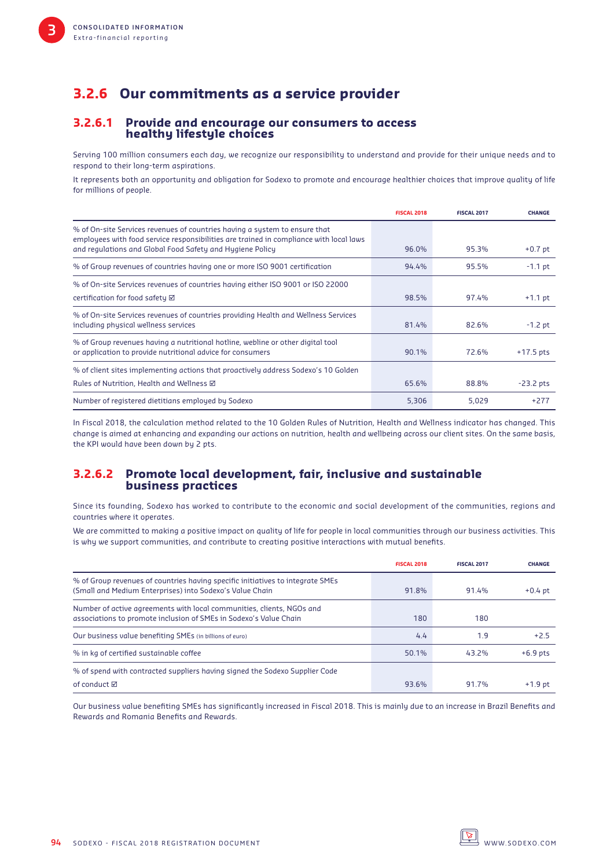## **3.2.6 Our commitments as a service provider**

#### **3.2.6.1 Provide and encourage our consumers to access healthy lifestyle choices**

Serving 100 million consumers each day, we recognize our responsibility to understand and provide for their unique needs and to respond to their long-term aspirations.

It represents both an opportunity and obligation for Sodexo to promote and encourage healthier choices that improve quality of life for millions of people.

|                                                                                                                                                                      | <b>FISCAL 2018</b> | <b>FISCAL 2017</b> | <b>CHANGE</b> |
|----------------------------------------------------------------------------------------------------------------------------------------------------------------------|--------------------|--------------------|---------------|
| % of On-site Services revenues of countries having a system to ensure that<br>employees with food service responsibilities are trained in compliance with local laws |                    |                    |               |
| and regulations and Global Food Safety and Hygiene Policy                                                                                                            | 96.0%              | 95.3%              | $+0.7$ pt     |
| % of Group revenues of countries having one or more ISO 9001 certification                                                                                           | 94.4%              | 95.5%              | $-1.1$ pt     |
| % of On-site Services revenues of countries having either ISO 9001 or ISO 22000                                                                                      |                    |                    |               |
| certification for food safety $\boxtimes$                                                                                                                            | 98.5%              | 97.4%              | $+1.1$ pt     |
| % of On-site Services revenues of countries providing Health and Wellness Services<br>including physical wellness services                                           | 81.4%              | 82.6%              | $-1.2$ pt     |
| % of Group revenues having a nutritional hotline, webline or other digital tool<br>or application to provide nutritional advice for consumers                        | 90.1%              | 72.6%              | $+17.5$ pts   |
| % of client sites implementing actions that proactively address Sodexo's 10 Golden                                                                                   |                    |                    |               |
| Rules of Nutrition, Health and Wellness Ø                                                                                                                            | 65.6%              | 88.8%              | $-23.2$ pts   |
| Number of registered dietitians employed by Sodexo                                                                                                                   | 5,306              | 5.029              | $+277$        |

In Fiscal 2018, the calculation method related to the 10 Golden Rules of Nutrition, Health and Wellness indicator has changed. This change is aimed at enhancing and expanding our actions on nutrition, health and wellbeing across our client sites. On the same basis, the KPI would have been down by 2 pts.

#### **3.2.6.2 Promote local development, fair, inclusive and sustainable business practices**

Since its founding, Sodexo has worked to contribute to the economic and social development of the communities, regions and countries where it operates.

We are committed to making a positive impact on quality of life for people in local communities through our business activities. This is why we support communities, and contribute to creating positive interactions with mutual benefits.

|                                                                                                                                            | <b>FISCAL 2018</b> | <b>FISCAL 2017</b> | <b>CHANGE</b> |
|--------------------------------------------------------------------------------------------------------------------------------------------|--------------------|--------------------|---------------|
| % of Group revenues of countries having specific initiatives to integrate SMEs<br>(Small and Medium Enterprises) into Sodexo's Value Chain | 91.8%              | 91.4%              | $+0.4$ pt     |
| Number of active agreements with local communities, clients, NGOs and<br>associations to promote inclusion of SMEs in Sodexo's Value Chain | 180                | 180                |               |
| Our business value benefiting SMEs (in billions of euro)                                                                                   | 4.4                | 1.9                | $+2.5$        |
| % in kg of certified sustainable coffee                                                                                                    | 50.1%              | 43.2%              | $+6.9$ pts    |
| % of spend with contracted suppliers having signed the Sodexo Supplier Code                                                                |                    |                    |               |
| of conduct ⊠                                                                                                                               | 93.6%              | 91 7%              | $+1.9$ pt     |

Our business value benefiting SMEs has significantly increased in Fiscal 2018. This is mainly due to an increase in Brazil Benefits and Rewards and Romania Benefits and Rewards.

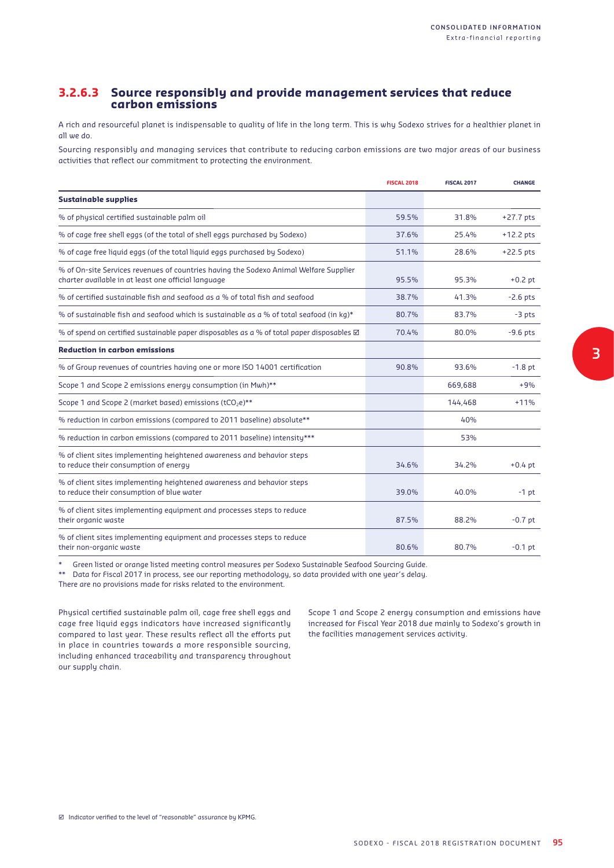#### **3.2.6.3 Source responsibly and provide management services that reduce carbon emissions**

A rich and resourceful planet is indispensable to quality of life in the long term. This is why Sodexo strives for a healthier planet in all we do.

Sourcing responsibly and managing services that contribute to reducing carbon emissions are two major areas of our business activities that reflect our commitment to protecting the environment.

|                                                                                                                                              | <b>FISCAL 2018</b> | <b>FISCAL 2017</b> | <b>CHANGE</b> |
|----------------------------------------------------------------------------------------------------------------------------------------------|--------------------|--------------------|---------------|
| <b>Sustainable supplies</b>                                                                                                                  |                    |                    |               |
| % of physical certified sustainable palm oil                                                                                                 | 59.5%              | 31.8%              | $+27.7$ pts   |
| % of cage free shell eggs (of the total of shell eggs purchased by Sodexo)                                                                   | 37.6%              | 25.4%              | $+12.2$ pts   |
| % of cage free liquid eggs (of the total liquid eggs purchased by Sodexo)                                                                    | 51.1%              | 28.6%              | $+22.5$ pts   |
| % of On-site Services revenues of countries having the Sodexo Animal Welfare Supplier<br>charter available in at least one official language | 95.5%              | 95.3%              | $+0.2$ pt     |
| % of certified sustainable fish and seafood as a % of total fish and seafood                                                                 | 38.7%              | 41.3%              | $-2.6$ pts    |
| % of sustainable fish and seafood which is sustainable as a % of total seafood (in kg)*                                                      | 80.7%              | 83.7%              | $-3$ pts      |
| % of spend on certified sustainable paper disposables as a % of total paper disposables $\boxtimes$                                          | 70.4%              | 80.0%              | $-9.6$ pts    |
| <b>Reduction in carbon emissions</b>                                                                                                         |                    |                    |               |
| % of Group revenues of countries having one or more ISO 14001 certification                                                                  | 90.8%              | 93.6%              | $-1.8$ pt     |
| Scope 1 and Scope 2 emissions energy consumption (in Mwh)**                                                                                  |                    | 669,688            | $+9%$         |
| Scope 1 and Scope 2 (market based) emissions (tCO <sub>2</sub> e)**                                                                          |                    | 144,468            | $+11%$        |
| % reduction in carbon emissions (compared to 2011 baseline) absolute**                                                                       |                    | 40%                |               |
| % reduction in carbon emissions (compared to 2011 baseline) intensity***                                                                     |                    | 53%                |               |
| % of client sites implementing heightened awareness and behavior steps<br>to reduce their consumption of energy                              | 34.6%              | 34.2%              | $+0.4$ pt     |
| % of client sites implementing heightened awareness and behavior steps<br>to reduce their consumption of blue water                          | 39.0%              | 40.0%              | $-1$ pt       |
| % of client sites implementing equipment and processes steps to reduce<br>their organic waste                                                | 87.5%              | 88.2%              | $-0.7$ pt     |
| % of client sites implementing equipment and processes steps to reduce<br>their non-organic waste                                            | 80.6%              | 80.7%              | $-0.1$ pt     |

Green listed or orange listed meeting control measures per Sodexo Sustainable Seafood Sourcing Guide.

\*\* Data for Fiscal 2017 in process, see our reporting methodology, so data provided with one year's delay.

There are no provisions made for risks related to the environment.

Physical certified sustainable palm oil, cage free shell eggs and cage free liquid eggs indicators have increased significantly compared to last year. These results reflect all the efforts put in place in countries towards a more responsible sourcing, including enhanced traceability and transparency throughout our supply chain.

Scope 1 and Scope 2 energy consumption and emissions have increased for Fiscal Year 2018 due mainly to Sodexo's growth in the facilities management services activity.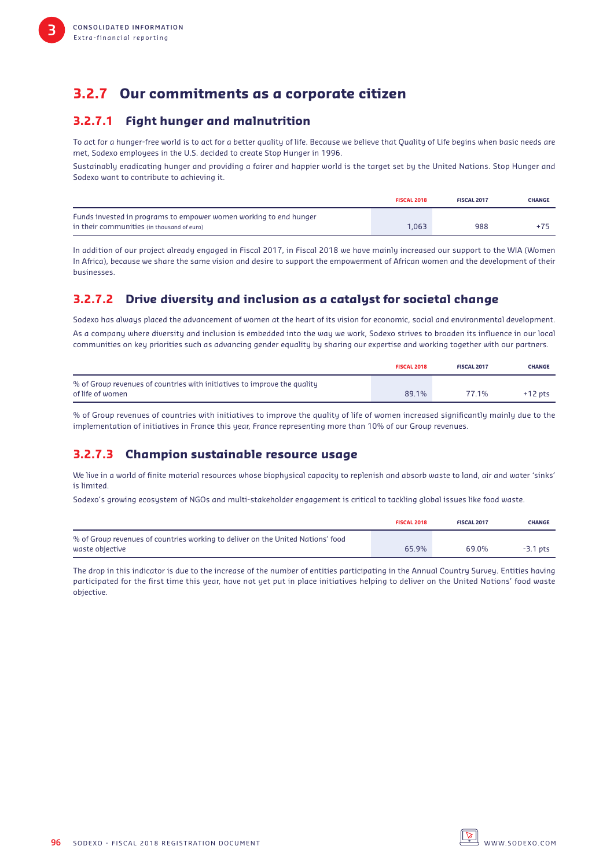## **3.2.7 Our commitments as a corporate citizen**

### **3.2.7.1 Fight hunger and malnutrition**

To act for a hunger-free world is to act for a better quality of life. Because we believe that Quality of Life begins when basic needs are met, Sodexo employees in the U.S. decided to create Stop Hunger in 1996.

Sustainably eradicating hunger and providing a fairer and happier world is the target set by the United Nations. Stop Hunger and Sodexo want to contribute to achieving it.

|                                                                   | <b>FISCAL 2018</b> | <b>FISCAL 2017</b> | <b>CHANGE</b> |
|-------------------------------------------------------------------|--------------------|--------------------|---------------|
| Funds invested in programs to empower women working to end hunger |                    |                    |               |
| in their communities (in thousand of euro)                        | 1.063              | 988                |               |

In addition of our project already engaged in Fiscal 2017, in Fiscal 2018 we have mainly increased our support to the WIA (Women In Africa), because we share the same vision and desire to support the empowerment of African women and the development of their businesses.

## **3.2.7.2 Drive diversity and inclusion as a catalyst for societal change**

Sodexo has always placed the advancement of women at the heart of its vision for economic, social and environmental development. As a company where diversity and inclusion is embedded into the way we work, Sodexo strives to broaden its influence in our local communities on key priorities such as advancing gender equality by sharing our expertise and working together with our partners.

|                                                                          | <b>FISCAL 2018</b> | <b>FISCAL 2017</b> | <b>CHANGE</b> |
|--------------------------------------------------------------------------|--------------------|--------------------|---------------|
| % of Group revenues of countries with initiatives to improve the quality |                    |                    |               |
| of life of women                                                         | 89.1%              | 77.1%              | $+12$ pts     |

% of Group revenues of countries with initiatives to improve the quality of life of women increased significantly mainly due to the implementation of initiatives in France this year, France representing more than 10% of our Group revenues.

### **3.2.7.3 Champion sustainable resource usage**

We live in a world of finite material resources whose biophysical capacity to replenish and absorb waste to land, air and water 'sinks' is limited.

Sodexo's growing ecosystem of NGOs and multi-stakeholder engagement is critical to tackling global issues like food waste.

|                                                                                 | <b>FISCAL 2018</b> | <b>FISCAL 2017</b> | <b>CHANGE</b> |
|---------------------------------------------------------------------------------|--------------------|--------------------|---------------|
| % of Group revenues of countries working to deliver on the United Nations' food |                    |                    |               |
| waste objective                                                                 | 65.9%              | 69.0%              | $-3.1$ pts    |

The drop in this indicator is due to the increase of the number of entities participating in the Annual Country Survey. Entities having participated for the first time this year, have not yet put in place initiatives helping to deliver on the United Nations' food waste objective.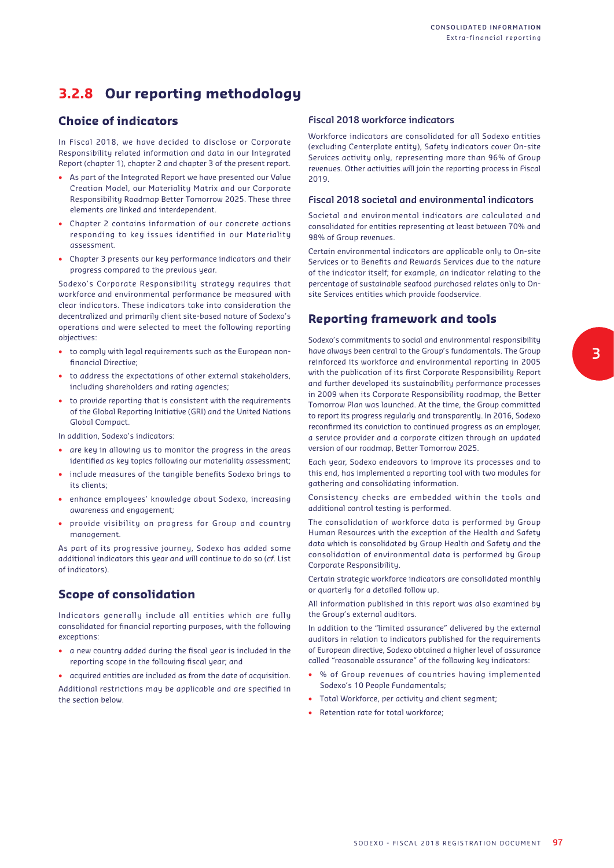## **3.2.8 Our reporting methodology**

#### **Choice of indicators**

In Fiscal 2018, we have decided to disclose or Corporate Responsibility related information and data in our Integrated Report (chapter 1), chapter 2 and chapter 3 of the present report.

- As part of the Integrated Report we have presented our Value Creation Model, our Materiality Matrix and our Corporate Responsibility Roadmap Better Tomorrow 2025. These three elements are linked and interdependent.
- Chapter 2 contains information of our concrete actions responding to key issues identified in our Materiality assessment.
- Chapter 3 presents our key performance indicators and their progress compared to the previous year.

Sodexo's Corporate Responsibility strategy requires that workforce and environmental performance be measured with clear indicators. These indicators take into consideration the decentralized and primarily client site-based nature of Sodexo's operations and were selected to meet the following reporting objectives:

- to comply with legal requirements such as the European nonfinancial Directive:
- to address the expectations of other external stakeholders, including shareholders and rating agencies;
- to provide reporting that is consistent with the requirements of the Global Reporting Initiative (GRI) and the United Nations Global Compact.

In addition, Sodexo's indicators:

- are key in allowing us to monitor the progress in the areas identified as key topics following our materiality assessment;
- include measures of the tangible benefits Sodexo brings to its clients;
- enhance employees' knowledge about Sodexo, increasing awareness and engagement;
- provide visibility on progress for Group and country management.

As part of its progressive journey, Sodexo has added some additional indicators this year and will continue to do so (*cf*. List of indicators).

#### **Scope of consolidation**

Indicators generally include all entities which are fully consolidated for financial reporting purposes, with the following exceptions:

- a new country added during the fiscal year is included in the reporting scope in the following fiscal year; and
- acquired entities are included as from the date of acquisition.

Additional restrictions may be applicable and are specified in the section below.

#### **Fiscal 2018 workforce indicators**

Workforce indicators are consolidated for all Sodexo entities (excluding Centerplate entity), Safety indicators cover On-site Services activity only, representing more than 96% of Group revenues. Other activities will join the reporting process in Fiscal 2019.

#### **Fiscal 2018 societal and environmental indicators**

Societal and environmental indicators are calculated and consolidated for entities representing at least between 70% and 98% of Group revenues.

Certain environmental indicators are applicable only to On-site Services or to Benefits and Rewards Services due to the nature of the indicator itself; for example, an indicator relating to the percentage of sustainable seafood purchased relates only to Onsite Services entities which provide foodservice.

#### **Reporting framework and tools**

Sodexo's commitments to social and environmental responsibility have always been central to the Group's fundamentals. The Group reinforced its workforce and environmental reporting in 2005 with the publication of its first Corporate Responsibility Report and further developed its sustainability performance processes in 2009 when its Corporate Responsibility roadmap, the Better Tomorrow Plan was launched. At the time, the Group committed to report its progress regularly and transparently. In 2016, Sodexo reconfirmed its conviction to continued progress as an employer, a service provider and a corporate citizen through an updated version of our roadmap, Better Tomorrow 2025.

Each year, Sodexo endeavors to improve its processes and to this end, has implemented a reporting tool with two modules for gathering and consolidating information.

Consistency checks are embedded within the tools and additional control testing is performed.

The consolidation of workforce data is performed by Group Human Resources with the exception of the Health and Safety data which is consolidated by Group Health and Safety and the consolidation of environmental data is performed by Group Corporate Responsibility.

Certain strategic workforce indicators are consolidated monthly or quarterly for a detailed follow up.

All information published in this report was also examined by the Group's external auditors.

In addition to the "limited assurance" delivered by the external auditors in relation to indicators published for the requirements of European directive, Sodexo obtained a higher level of assurance called "reasonable assurance" of the following key indicators:

- % of Group revenues of countries having implemented Sodexo's 10 People Fundamentals;
- Total Workforce, per activity and client segment;
- Retention rate for total workforce:

**3**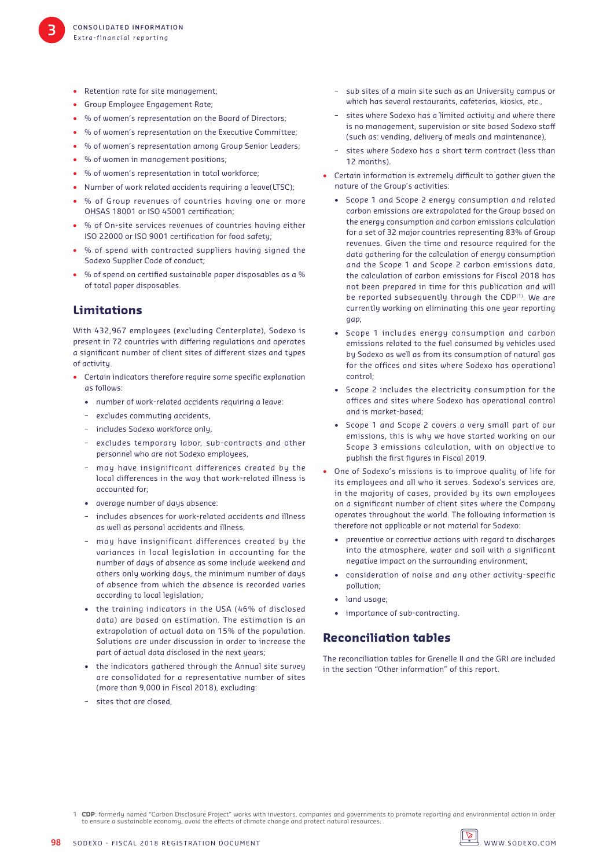- Retention rate for site management:
- Group Employee Engagement Rate;
- % of women's representation on the Board of Directors;
- % of women's representation on the Executive Committee;
- % of women's representation among Group Senior Leaders;
- % of women in management positions;
- % of women's representation in total workforce;
- Number of work related accidents requiring a leave(LTSC);
- % of Group revenues of countries having one or more OHSAS 18001 or ISO 45001 certification:
- % of On-site services revenues of countries having either ISO 22000 or ISO 9001 certification for food safety;
- % of spend with contracted suppliers having signed the Sodexo Supplier Code of conduct;
- % of spend on certified sustainable paper disposables as a % of total paper disposables.

#### **Limitations**

With 432,967 employees (excluding Centerplate), Sodexo is present in 72 countries with differing regulations and operates a significant number of client sites of different sizes and types of activity.

- Certain indicators therefore require some specific explanation as follows:
	- number of work-related accidents requiring a leave:
	- excludes commuting accidents,
	- includes Sodexo workforce only,
	- excludes temporary labor, sub-contracts and other personnel who are not Sodexo employees,
	- may have insignificant differences created by the local differences in the way that work-related illness is accounted for;
	- average number of days absence:
	- includes absences for work-related accidents and illness as well as personal accidents and illness,
	- may have insignificant differences created by the variances in local legislation in accounting for the number of days of absence as some include weekend and others only working days, the minimum number of days of absence from which the absence is recorded varies according to local legislation;
	- the training indicators in the USA (46% of disclosed data) are based on estimation. The estimation is an extrapolation of actual data on 15% of the population. Solutions are under discussion in order to increase the part of actual data disclosed in the next years;
	- the indicators gathered through the Annual site survey are consolidated for a representative number of sites (more than 9,000 in Fiscal 2018), excluding:
	- sites that are closed,
- sub sites of a main site such as an University campus or which has several restaurants, cafeterias, kiosks, etc.,
- sites where Sodexo has a limited activity and where there is no management, supervision or site based Sodexo staff (such as: vending, delivery of meals and maintenance),
- sites where Sodexo has a short term contract (less than 12 months).
- Certain information is extremely difficult to gather given the nature of the Group's activities:
	- Scope 1 and Scope 2 energy consumption and related carbon emissions are extrapolated for the Group based on the energy consumption and carbon emissions calculation for a set of 32 major countries representing 83% of Group revenues. Given the time and resource required for the data gathering for the calculation of energy consumption and the Scope 1 and Scope 2 carbon emissions data, the calculation of carbon emissions for Fiscal 2018 has not been prepared in time for this publication and will be reported subsequently through the CDP(1). We are currently working on eliminating this one year reporting gap;
	- Scope 1 includes energy consumption and carbon emissions related to the fuel consumed by vehicles used by Sodexo as well as from its consumption of natural gas for the offices and sites where Sodexo has operational control;
	- Scope 2 includes the electricity consumption for the offices and sites where Sodexo has operational control and is market-based;
	- Scope 1 and Scope 2 covers a very small part of our emissions, this is why we have started working on our Scope 3 emissions calculation, with on objective to publish the first figures in Fiscal 2019.
- One of Sodexo's missions is to improve quality of life for its employees and all who it serves. Sodexo's services are, in the majority of cases, provided by its own employees on a significant number of client sites where the Company operates throughout the world. The following information is therefore not applicable or not material for Sodexo:
	- preventive or corrective actions with regard to discharges into the atmosphere, water and soil with a significant negative impact on the surrounding environment;
	- consideration of noise and any other activity-specific pollution;
	- land usage;
	- importance of sub-contracting.

#### **Reconciliation tables**

The reconciliation tables for Grenelle II and the GRI are included in the section "Other information" of this report.



<sup>1</sup> **CDP**: formerly named "Carbon Disclosure Project" works with investors, companies and governments to promote reporting and environmental action in order to ensure a sustainable economy, avoid the eff ects of climate change and protect natural resources.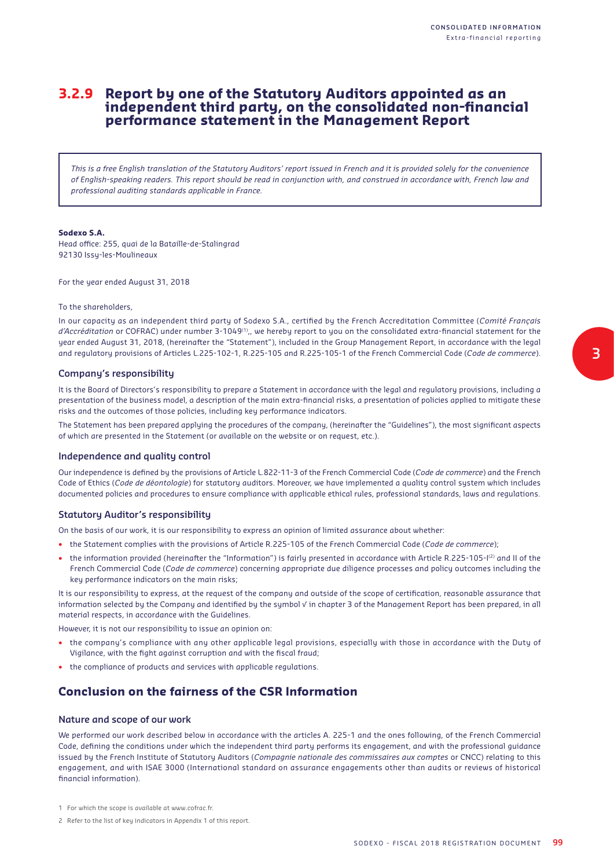### **3.2.9 Report by one of the Statutory Auditors appointed as an independent third party, on the consolidated non-financial performance statement in the Management Report**

*This is a free English translation of the Statutory Auditors' report issued in French and it is provided solely for the convenience of English-speaking readers. This report should be read in conjunction with, and construed in accordance with, French law and professional auditing standards applicable in France.*

#### **Sodexo S.A.**

Head office: 255, quai de la Bataille-de-Stalingrad 92130 Issy-les-Moulineaux

For the year ended August 31, 2018

#### To the shareholders,

In our capacity as an independent third party of Sodexo S.A., certified by the French Accreditation Committee (Comité Français *d'Accréditation* or COFRAC) under number 3-1049<sup>(1)</sup>,, we hereby report to you on the consolidated extra-financial statement for the year ended August 31, 2018, (hereinafter the "Statement"), included in the Group Management Report, in accordance with the legal and regulatory provisions of Articles L.225-102-1, R.225-105 and R.225-105-1 of the French Commercial Code (*Code de commerce*).

#### **Company's responsibility**

It is the Board of Directors's responsibility to prepare a Statement in accordance with the legal and regulatory provisions, including a presentation of the business model, a description of the main extra-financial risks, a presentation of policies applied to mitigate these risks and the outcomes of those policies, including key performance indicators.

The Statement has been prepared applying the procedures of the company, (hereinafter the "Guidelines"), the most significant aspects of which are presented in the Statement (or available on the website or on request, etc.).

#### **Independence and quality control**

Our independence is defined by the provisions of Article L.822-11-3 of the French Commercial Code (*Code de commerce*) and the French Code of Ethics (*Code de déontologie*) for statutory auditors. Moreover, we have implemented a quality control system which includes documented policies and procedures to ensure compliance with applicable ethical rules, professional standards, laws and regulations.

#### **Statutory Auditor's responsibility**

On the basis of our work, it is our responsibility to express an opinion of limited assurance about whether:

- the Statement complies with the provisions of Article R.225-105 of the French Commercial Code (*Code de commerce*);
- the information provided (hereinafter the "Information") is fairly presented in accordance with Article R.225-105-I(2) and II of the French Commercial Code (*Code de commerce*) concerning appropriate due diligence processes and policy outcomes including the key performance indicators on the main risks;

It is our responsibility to express, at the request of the company and outside of the scope of certification, reasonable assurance that information selected by the Company and identified by the symbol √ in chapter 3 of the Management Report has been prepared, in all material respects, in accordance with the Guidelines.

However, it is not our responsibility to issue an opinion on:

- the company's compliance with any other applicable legal provisions, especially with those in accordance with the Duty of Vigilance, with the fight against corruption and with the fiscal fraud;
- the compliance of products and services with applicable regulations.

#### **Conclusion on the fairness of the CSR Information**

#### **Nature and scope of our work**

We performed our work described below in accordance with the articles A. 225-1 and the ones following, of the French Commercial Code, defining the conditions under which the independent third party performs its engagement, and with the professional guidance issued by the French Institute of Statutory Auditors (*Compagnie nationale des commissaires aux comptes* or CNCC) relating to this engagement, and with ISAE 3000 (International standard on assurance engagements other than audits or reviews of historical financial information).

<sup>1</sup> For which the scope is available at www.cofrac.fr.

<sup>2</sup> Refer to the list of key indicators in Appendix 1 of this report.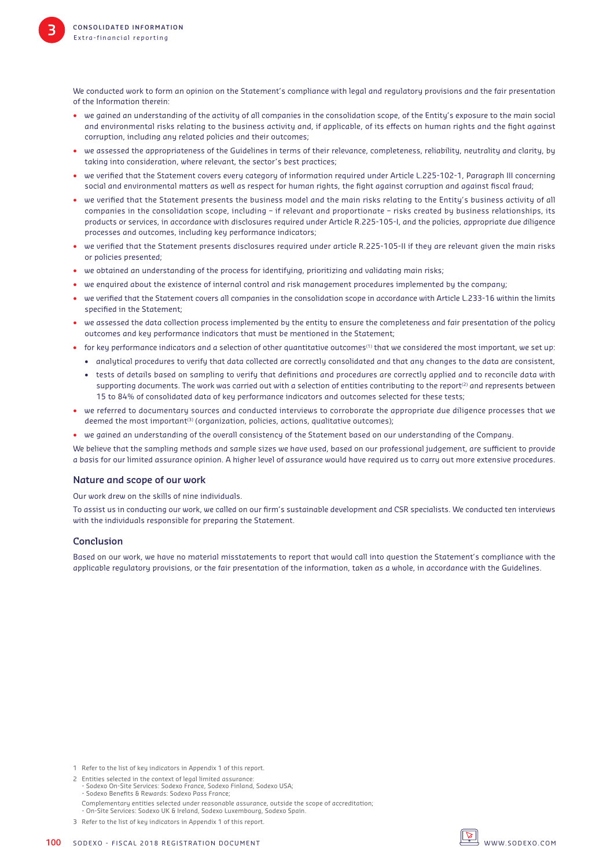We conducted work to form an opinion on the Statement's compliance with legal and regulatory provisions and the fair presentation of the Information therein:

- we gained an understanding of the activity of all companies in the consolidation scope, of the Entity's exposure to the main social and environmental risks relating to the business activity and, if applicable, of its effects on human rights and the fight against corruption, including any related policies and their outcomes;
- we assessed the appropriateness of the Guidelines in terms of their relevance, completeness, reliability, neutrality and clarity, by taking into consideration, where relevant, the sector's best practices;
- we verified that the Statement covers every category of information required under Article L.225-102-1, Paragraph III concerning social and environmental matters as well as respect for human rights, the fight against corruption and against fiscal fraud;
- we verified that the Statement presents the business model and the main risks relating to the Entity's business activity of all companies in the consolidation scope, including – if relevant and proportionate – risks created by business relationships, its products or services, in accordance with disclosures required under Article R.225-105-I, and the policies, appropriate due diligence processes and outcomes, including key performance indicators;
- we verified that the Statement presents disclosures required under article R.225-105-II if they are relevant given the main risks or policies presented;
- we obtained an understanding of the process for identifying, prioritizing and validating main risks;
- we enquired about the existence of internal control and risk management procedures implemented by the company;
- we verified that the Statement covers all companies in the consolidation scope in accordance with Article L.233-16 within the limits specified in the Statement:
- we assessed the data collection process implemented by the entity to ensure the completeness and fair presentation of the policy outcomes and key performance indicators that must be mentioned in the Statement;
- for key performance indicators and a selection of other quantitative outcomes<sup>(1)</sup> that we considered the most important, we set up:
	- analytical procedures to verify that data collected are correctly consolidated and that any changes to the data are consistent,
	- tests of details based on sampling to verify that definitions and procedures are correctly applied and to reconcile data with supporting documents. The work was carried out with a selection of entities contributing to the report<sup>(2)</sup> and represents between 15 to 84% of consolidated data of key performance indicators and outcomes selected for these tests;
- we referred to documentary sources and conducted interviews to corroborate the appropriate due diligence processes that we deemed the most important<sup>(3)</sup> (organization, policies, actions, qualitative outcomes);
- we gained an understanding of the overall consistency of the Statement based on our understanding of the Company.

We believe that the sampling methods and sample sizes we have used, based on our professional judgement, are sufficient to provide a basis for our limited assurance opinion. A higher level of assurance would have required us to carry out more extensive procedures.

#### **Nature and scope of our work**

Our work drew on the skills of nine individuals.

To assist us in conducting our work, we called on our firm's sustainable development and CSR specialists. We conducted ten interviews with the individuals responsible for preparing the Statement.

#### **Conclusion**

Based on our work, we have no material misstatements to report that would call into question the Statement's compliance with the applicable regulatory provisions, or the fair presentation of the information, taken as a whole, in accordance with the Guidelines.

1 Refer to the list of key indicators in Appendix 1 of this report.

2 Entities selected in the context of legal limited assurance: - Sodexo On-Site Services: Sodexo France, Sodexo Finland, Sodexo USA; - Sodexo Benefits & Rewards: Sodexo Pass France: Complementary entities selected under reasonable assurance, outside the scope of accreditation; - On-Site Services: Sodexo UK & Ireland, Sodexo Luxembourg, Sodexo Spain.



<sup>3</sup> Refer to the list of key indicators in Appendix 1 of this report.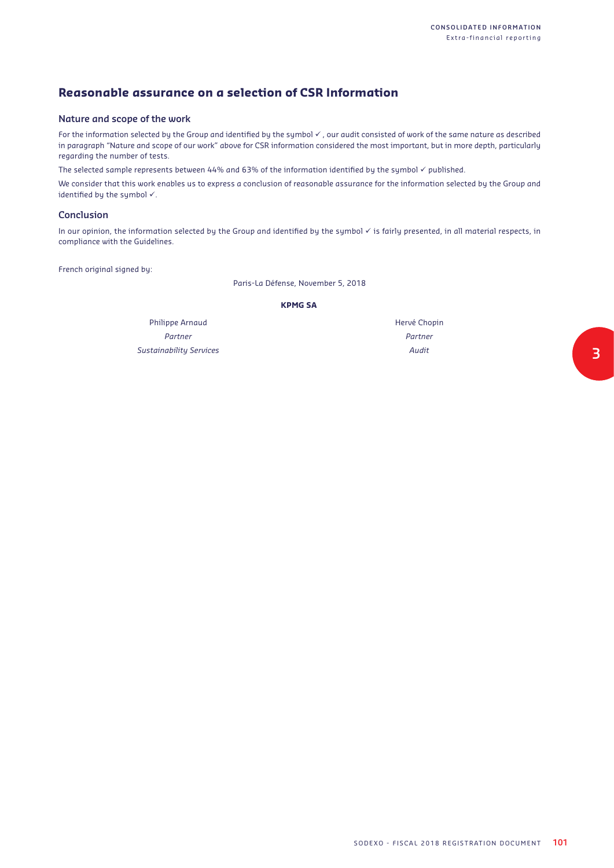## **Reasonable assurance on a selection of CSR Information**

#### **Nature and scope of the work**

For the information selected by the Group and identified by the symbol  $\checkmark$ , our audit consisted of work of the same nature as described in paragraph "Nature and scope of our work" above for CSR information considered the most important, but in more depth, particularly regarding the number of tests.

The selected sample represents between 44% and 63% of the information identified by the symbol  $\checkmark$  published.

We consider that this work enables us to express a conclusion of reasonable assurance for the information selected by the Group and identified by the symbol  $\checkmark$ .

#### **Conclusion**

In our opinion, the information selected by the Group and identified by the symbol  $\checkmark$  is fairly presented, in all material respects, in compliance with the Guidelines.

French original signed by:

Paris-La Défense, November 5, 2018

#### **KPMG SA**

Philippe Arnaud *Partner Sustainability Services* Hervé Chopin *Partner Audit*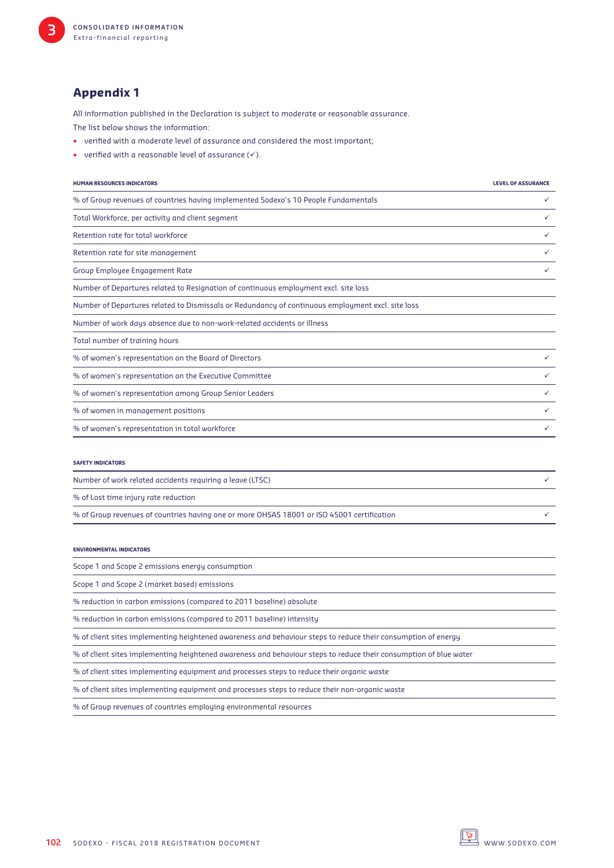## **Appendix 1**

All information published in the Declaration is subject to moderate or reasonable assurance.

The list below shows the information:

- verified with a moderate level of assurance and considered the most important;
- verified with a reasonable level of assurance  $(\checkmark)$ .

| <b>HUMAN RESOURCES INDICATORS</b>                                                                 | <b>LEVEL OF ASSURANCE</b> |
|---------------------------------------------------------------------------------------------------|---------------------------|
| % of Group revenues of countries having implemented Sodexo's 10 People Fundamentals               | ✓                         |
| Total Workforce, per activity and client segment                                                  | ✓                         |
| Retention rate for total workforce                                                                | ✓                         |
| Retention rate for site management                                                                | ✓                         |
| Group Employee Engagement Rate                                                                    | ✓                         |
| Number of Departures related to Resignation of continuous employment excl. site loss              |                           |
| Number of Departures related to Dismissals or Redundancy of continuous employment excl. site loss |                           |
| Number of work days absence due to non-work-related accidents or illness                          |                           |
| Total number of training hours                                                                    |                           |
| % of women's representation on the Board of Directors                                             | ✓                         |
| % of women's representation on the Executive Committee                                            | ✓                         |
| % of women's representation among Group Senior Leaders                                            | ✓                         |
| % of women in management positions                                                                | ✓                         |
| % of women's representation in total workforce                                                    | ✓                         |

| Number of work related accidents requiring a leave (LTSC)                                  |  |  |  |
|--------------------------------------------------------------------------------------------|--|--|--|
| % of Lost time injury rate reduction                                                       |  |  |  |
| % of Group revenues of countries having one or more OHSAS 18001 or ISO 45001 certification |  |  |  |

#### **ENVIRONMENTAL INDICATORS**

|  |  |  |  |  |  | Scope 1 and Scope 2 emissions energy consumption |
|--|--|--|--|--|--|--------------------------------------------------|
|--|--|--|--|--|--|--------------------------------------------------|

Scope 1 and Scope 2 (market based) emissions

% reduction in carbon emissions (compared to 2011 baseline) absolute

% reduction in carbon emissions (compared to 2011 baseline) intensity

% of client sites implementing heightened awareness and behaviour steps to reduce their consumption of energy

% of client sites implementing heightened awareness and behaviour steps to reduce their consumption of blue water

% of client sites implementing equipment and processes steps to reduce their organic waste

% of client sites implementing equipment and processes steps to reduce their non-organic waste

% of Group revenues of countries employing environmental resources